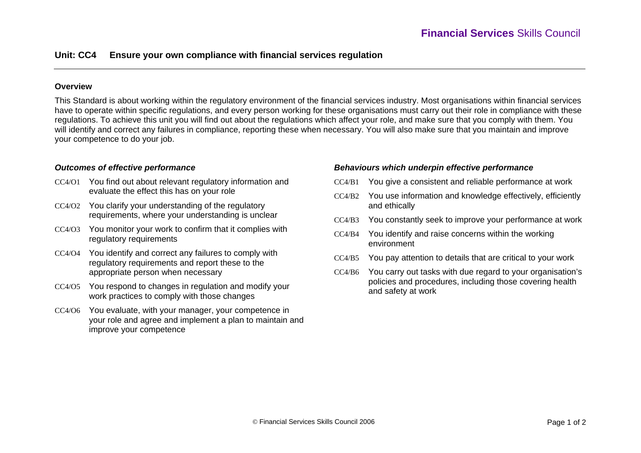### **Overview**

This Standard is about working within the regulatory environment of the financial services industry. Most organisations within financial services have to operate within specific regulations, and every person working for these organisations must carry out their role in compliance with these regulations. To achieve this unit you will find out about the regulations which affect your role, and make sure that you comply with them. You will identify and correct any failures in compliance, reporting these when necessary. You will also make sure that you maintain and improve your competence to do your job.

#### *Outcomes of effective performance*

- CC4/O1 You find out about relevant regulatory information and evaluate the effect this has on your role
- CC4/O2 You clarify your understanding of the regulatory requirements, where your understanding is unclear
- CC4/O3 You monitor your work to confirm that it complies with regulatory requirements
- CC4/O4 You identify and correct any failures to comply with regulatory requirements and report these to the appropriate person when necessary
- CC4/O5 You respond to changes in regulation and modify your work practices to comply with those changes
- CC4/O6 You evaluate, with your manager, your competence in your role and agree and implement a plan to maintain and improve your competence

#### *Behaviours which underpin effective performance*

- CC4/B1 You give a consistent and reliable performance at work
- CC4/B2 You use information and knowledge effectively, efficiently and ethically
- $CCA/B3$ You constantly seek to improve your performance at work
- CC4/B4 You identify and raise concerns within the working environment
- $CCA/B5$ You pay attention to details that are critical to your work
- CC4/B6 You carry out tasks with due regard to your organisation's policies and procedures, including those covering health and safety at work